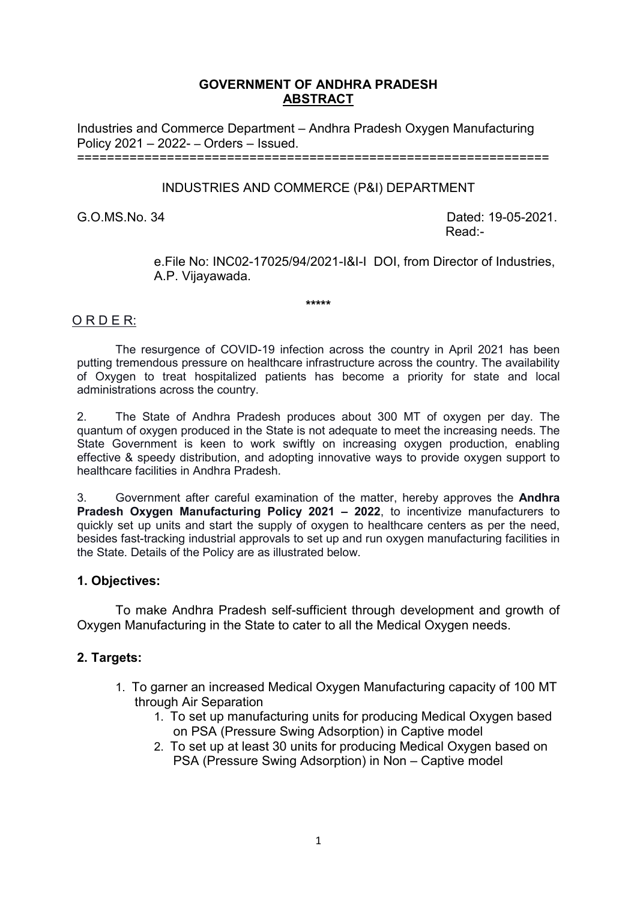# **GOVERNMENT OF ANDHRA PRADESH ABSTRACT**

Industries and Commerce Department – Andhra Pradesh Oxygen Manufacturing Policy 2021 – 2022- – Orders – Issued. ===============================================================

INDUSTRIES AND COMMERCE (P&I) DEPARTMENT

G.O.MS.No. 34 Dated: 19-05-2021. Read:-

> e.File No: INC02-17025/94/2021-I&I-I DOI, from Director of Industries, A.P. Vijayawada.

> > **\*\*\*\*\***

# O R D E R:

The resurgence of COVID-19 infection across the country in April 2021 has been putting tremendous pressure on healthcare infrastructure across the country. The availability of Oxygen to treat hospitalized patients has become a priority for state and local administrations across the country.

2. The State of Andhra Pradesh produces about 300 MT of oxygen per day. The quantum of oxygen produced in the State is not adequate to meet the increasing needs. The State Government is keen to work swiftly on increasing oxygen production, enabling effective & speedy distribution, and adopting innovative ways to provide oxygen support to healthcare facilities in Andhra Pradesh.

3. Government after careful examination of the matter, hereby approves the **Andhra Pradesh Oxygen Manufacturing Policy 2021 – 2022**, to incentivize manufacturers to quickly set up units and start the supply of oxygen to healthcare centers as per the need, besides fast-tracking industrial approvals to set up and run oxygen manufacturing facilities in the State. Details of the Policy are as illustrated below.

# **1. Objectives:**

To make Andhra Pradesh self-sufficient through development and growth of Oxygen Manufacturing in the State to cater to all the Medical Oxygen needs.

# **2. Targets:**

- 1. To garner an increased Medical Oxygen Manufacturing capacity of 100 MT through Air Separation
	- 1. To set up manufacturing units for producing Medical Oxygen based on PSA (Pressure Swing Adsorption) in Captive model
	- 2. To set up at least 30 units for producing Medical Oxygen based on PSA (Pressure Swing Adsorption) in Non – Captive model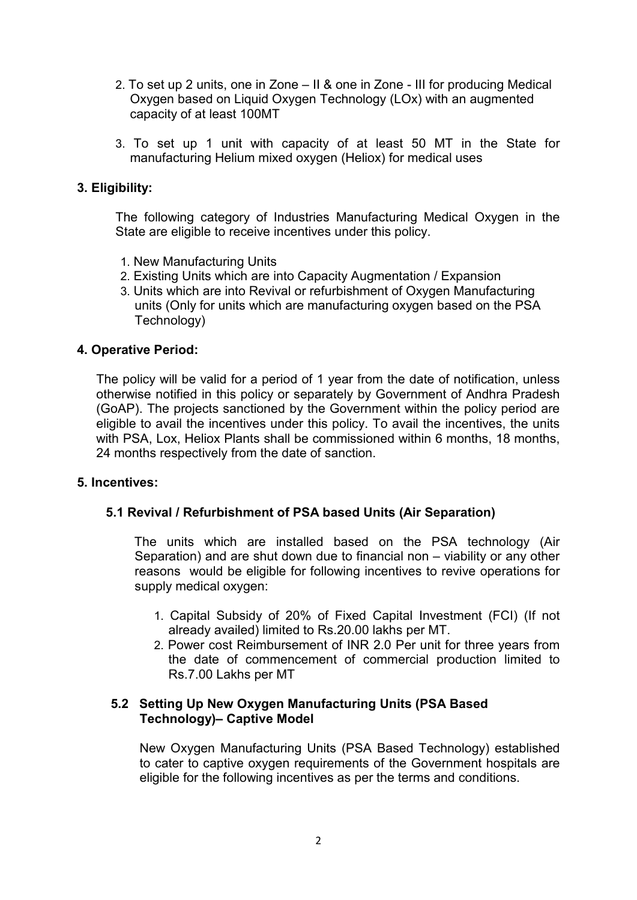- 2. To set up 2 units, one in Zone II & one in Zone III for producing Medical Oxygen based on Liquid Oxygen Technology (LOx) with an augmented capacity of at least 100MT
- 3. To set up 1 unit with capacity of at least 50 MT in the State for manufacturing Helium mixed oxygen (Heliox) for medical uses

# **3. Eligibility:**

The following category of Industries Manufacturing Medical Oxygen in the State are eligible to receive incentives under this policy.

- 1. New Manufacturing Units
- 2. Existing Units which are into Capacity Augmentation / Expansion
- 3. Units which are into Revival or refurbishment of Oxygen Manufacturing units (Only for units which are manufacturing oxygen based on the PSA Technology)

# **4. Operative Period:**

The policy will be valid for a period of 1 year from the date of notification, unless otherwise notified in this policy or separately by Government of Andhra Pradesh (GoAP). The projects sanctioned by the Government within the policy period are eligible to avail the incentives under this policy. To avail the incentives, the units with PSA, Lox, Heliox Plants shall be commissioned within 6 months, 18 months, 24 months respectively from the date of sanction.

#### **5. Incentives:**

# **5.1 Revival / Refurbishment of PSA based Units (Air Separation)**

The units which are installed based on the PSA technology (Air Separation) and are shut down due to financial non – viability or any other reasons would be eligible for following incentives to revive operations for supply medical oxygen:

- 1. Capital Subsidy of 20% of Fixed Capital Investment (FCI) (If not already availed) limited to Rs.20.00 lakhs per MT.
- 2. Power cost Reimbursement of INR 2.0 Per unit for three years from the date of commencement of commercial production limited to Rs.7.00 Lakhs per MT

#### **5.2 Setting Up New Oxygen Manufacturing Units (PSA Based Technology)– Captive Model**

New Oxygen Manufacturing Units (PSA Based Technology) established to cater to captive oxygen requirements of the Government hospitals are eligible for the following incentives as per the terms and conditions.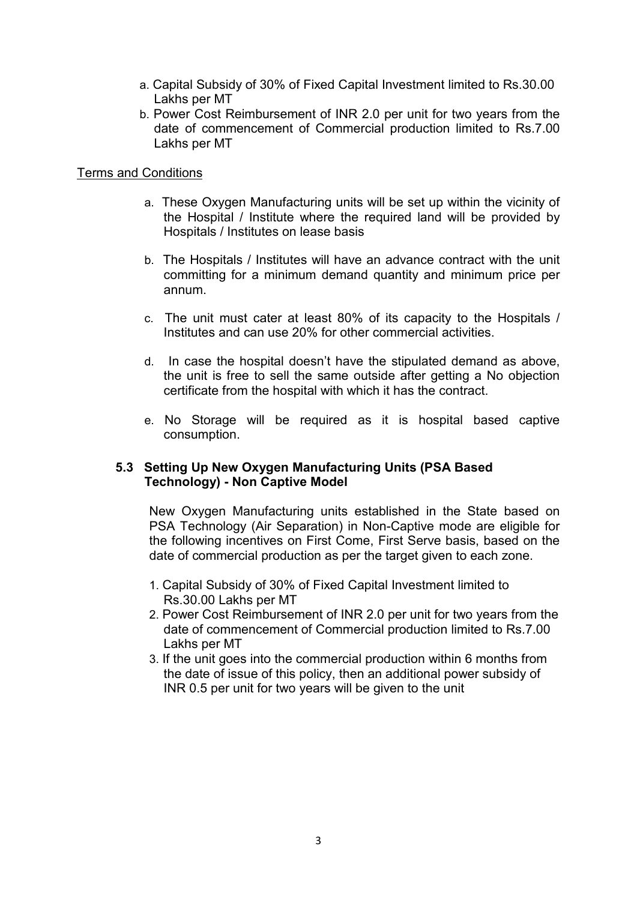- a. Capital Subsidy of 30% of Fixed Capital Investment limited to Rs.30.00 Lakhs per MT
- b. Power Cost Reimbursement of INR 2.0 per unit for two years from the date of commencement of Commercial production limited to Rs.7.00 Lakhs per MT

### Terms and Conditions

- a. These Oxygen Manufacturing units will be set up within the vicinity of the Hospital / Institute where the required land will be provided by Hospitals / Institutes on lease basis
- b. The Hospitals / Institutes will have an advance contract with the unit committing for a minimum demand quantity and minimum price per annum.
- c. The unit must cater at least 80% of its capacity to the Hospitals / Institutes and can use 20% for other commercial activities.
- d. In case the hospital doesn't have the stipulated demand as above, the unit is free to sell the same outside after getting a No objection certificate from the hospital with which it has the contract.
- e. No Storage will be required as it is hospital based captive consumption.

# **5.3 Setting Up New Oxygen Manufacturing Units (PSA Based Technology) - Non Captive Model**

New Oxygen Manufacturing units established in the State based on PSA Technology (Air Separation) in Non-Captive mode are eligible for the following incentives on First Come, First Serve basis, based on the date of commercial production as per the target given to each zone.

- 1. Capital Subsidy of 30% of Fixed Capital Investment limited to Rs.30.00 Lakhs per MT
- 2. Power Cost Reimbursement of INR 2.0 per unit for two years from the date of commencement of Commercial production limited to Rs.7.00 Lakhs per MT
- 3. If the unit goes into the commercial production within 6 months from the date of issue of this policy, then an additional power subsidy of INR 0.5 per unit for two years will be given to the unit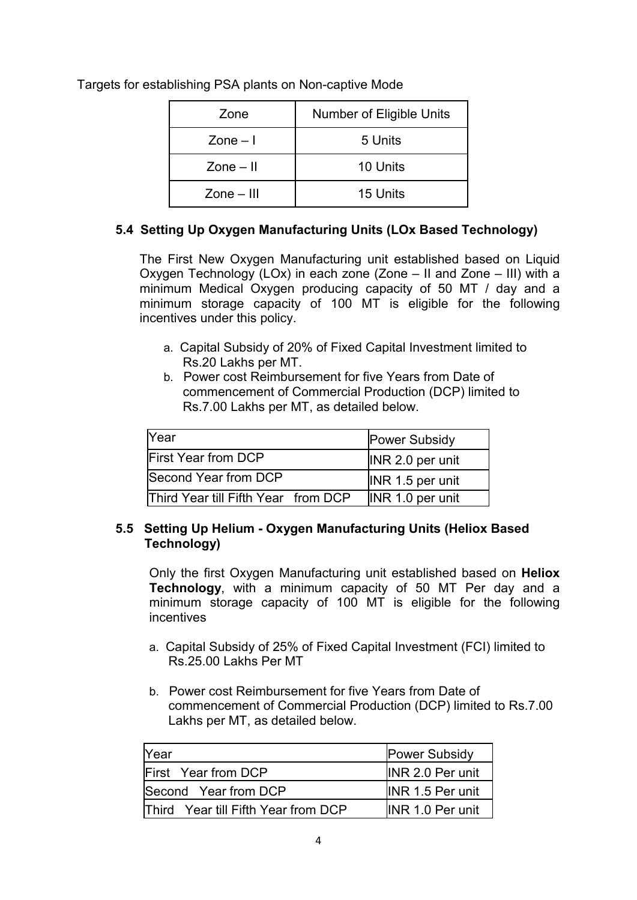| Zone                          | Number of Eligible Units |
|-------------------------------|--------------------------|
| $\mathsf{Zone} - \mathsf{I}$  | 5 Units                  |
| $\mathsf{Zone} - \mathsf{II}$ | 10 Units                 |
| $Zone - III$                  | 15 Units                 |

Targets for establishing PSA plants on Non-captive Mode

# **5.4 Setting Up Oxygen Manufacturing Units (LOx Based Technology)**

The First New Oxygen Manufacturing unit established based on Liquid Oxygen Technology (LOx) in each zone (Zone – II and Zone – III) with a minimum Medical Oxygen producing capacity of 50 MT / day and a minimum storage capacity of 100 MT is eligible for the following incentives under this policy.

- a. Capital Subsidy of 20% of Fixed Capital Investment limited to Rs.20 Lakhs per MT.
- b. Power cost Reimbursement for five Years from Date of commencement of Commercial Production (DCP) limited to Rs.7.00 Lakhs per MT, as detailed below.

| Year                                | <b>Power Subsidy</b> |
|-------------------------------------|----------------------|
| <b>First Year from DCP</b>          | INR 2.0 per unit     |
| Second Year from DCP                | INR 1.5 per unit     |
| Third Year till Fifth Year from DCP | INR 1.0 per unit     |

# **5.5 Setting Up Helium - Oxygen Manufacturing Units (Heliox Based Technology)**

Only the first Oxygen Manufacturing unit established based on **Heliox Technology**, with a minimum capacity of 50 MT Per day and a minimum storage capacity of 100 MT is eligible for the following incentives

- a. Capital Subsidy of 25% of Fixed Capital Investment (FCI) limited to Rs.25.00 Lakhs Per MT
- b. Power cost Reimbursement for five Years from Date of commencement of Commercial Production (DCP) limited to Rs.7.00 Lakhs per MT, as detailed below.

| <b>Year</b>                                | <b>Power Subsidy</b>    |
|--------------------------------------------|-------------------------|
| <b>IFirst</b> Year from DCP                | <b>INR 2.0 Per unit</b> |
| Second Year from DCP                       | <b>INR 1.5 Per unit</b> |
| <b>Third</b> Year till Fifth Year from DCP | <b>INR 1.0 Per unit</b> |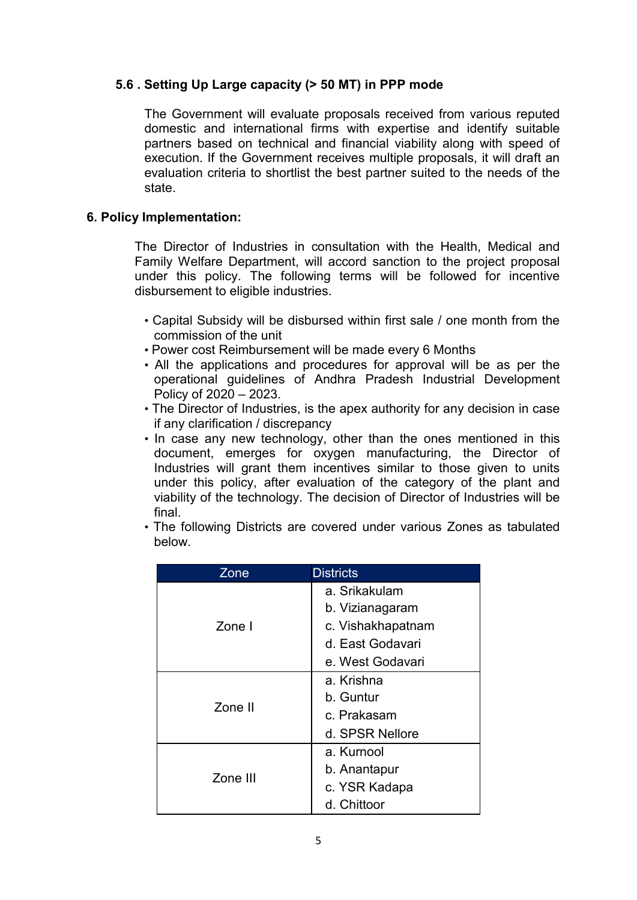# **5.6 . Setting Up Large capacity (> 50 MT) in PPP mode**

The Government will evaluate proposals received from various reputed domestic and international firms with expertise and identify suitable partners based on technical and financial viability along with speed of execution. If the Government receives multiple proposals, it will draft an evaluation criteria to shortlist the best partner suited to the needs of the state.

# **6. Policy Implementation:**

The Director of Industries in consultation with the Health, Medical and Family Welfare Department, will accord sanction to the project proposal under this policy. The following terms will be followed for incentive disbursement to eligible industries.

- Capital Subsidy will be disbursed within first sale / one month from the commission of the unit
- Power cost Reimbursement will be made every 6 Months
- All the applications and procedures for approval will be as per the operational guidelines of Andhra Pradesh Industrial Development Policy of 2020 – 2023.
- The Director of Industries, is the apex authority for any decision in case if any clarification / discrepancy
- In case any new technology, other than the ones mentioned in this document, emerges for oxygen manufacturing, the Director of Industries will grant them incentives similar to those given to units under this policy, after evaluation of the category of the plant and viability of the technology. The decision of Director of Industries will be final.
- The following Districts are covered under various Zones as tabulated below.

| Zone     | <b>Districts</b>  |
|----------|-------------------|
| Zone I   | a. Srikakulam     |
|          | b. Vizianagaram   |
|          | c. Vishakhapatnam |
|          | d. East Godavari  |
|          | e. West Godavari  |
| Zone II  | a. Krishna        |
|          | b. Guntur         |
|          | c. Prakasam       |
|          | d. SPSR Nellore   |
| Zone III | a. Kurnool        |
|          | b. Anantapur      |
|          | c. YSR Kadapa     |
|          | d. Chittoor       |